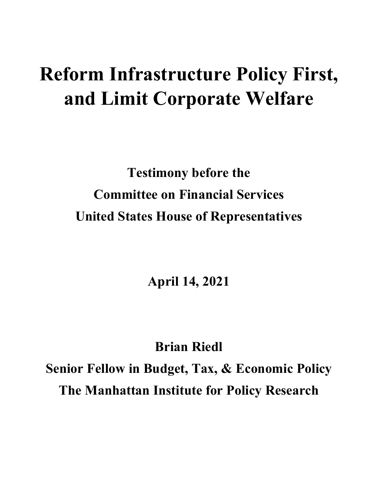# **Reform Infrastructure Policy First, and Limit Corporate Welfare**

**Testimony before the Committee on Financial Services United States House of Representatives**

**April 14, 2021**

**Brian Riedl Senior Fellow in Budget, Tax, & Economic Policy The Manhattan Institute for Policy Research**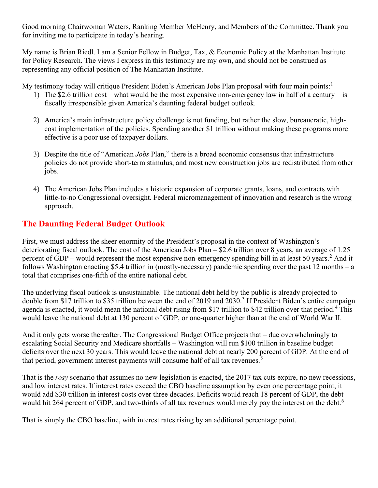Good morning Chairwoman Waters, Ranking Member McHenry, and Members of the Committee. Thank you for inviting me to participate in today's hearing.

My name is Brian Riedl. I am a Senior Fellow in Budget, Tax, & Economic Policy at the Manhattan Institute for Policy Research. The views I express in this testimony are my own, and should not be construed as representing any official position of The Manhattan Institute.

My testimony today will critique President Biden's American Jobs Plan proposal with four main points:<sup>[1](#page-8-0)</sup>

- 1) The \$2.6 trillion cost what would be the most expensive non-emergency law in half of a century is fiscally irresponsible given America's daunting federal budget outlook.
- 2) America's main infrastructure policy challenge is not funding, but rather the slow, bureaucratic, highcost implementation of the policies. Spending another \$1 trillion without making these programs more effective is a poor use of taxpayer dollars.
- 3) Despite the title of "American *Jobs* Plan," there is a broad economic consensus that infrastructure policies do not provide short-term stimulus, and most new construction jobs are redistributed from other jobs.
- 4) The American Jobs Plan includes a historic expansion of corporate grants, loans, and contracts with little-to-no Congressional oversight. Federal micromanagement of innovation and research is the wrong approach.

# **The Daunting Federal Budget Outlook**

First, we must address the sheer enormity of the President's proposal in the context of Washington's deteriorating fiscal outlook. The cost of the American Jobs Plan – \$2.6 trillion over 8 years, an average of 1.25 percent of GDP – would represent the most expensive non-emergency spending bill in at least 50 years.<sup>[2](#page-8-1)</sup> And it follows Washington enacting \$5.4 trillion in (mostly-necessary) pandemic spending over the past 12 months – a total that comprises one-fifth of the entire national debt.

The underlying fiscal outlook is unsustainable. The national debt held by the public is already projected to double from \$17 trillion to \$[3](#page-8-2)5 trillion between the end of 2019 and 2030.<sup>3</sup> If President Biden's entire campaign agenda is enacted, it would mean the national debt rising from \$17 trillion to \$[4](#page-8-3)2 trillion over that period.<sup>4</sup> This would leave the national debt at 130 percent of GDP, or one-quarter higher than at the end of World War II.

And it only gets worse thereafter. The Congressional Budget Office projects that – due overwhelmingly to escalating Social Security and Medicare shortfalls – Washington will run \$100 trillion in baseline budget deficits over the next 30 years. This would leave the national debt at nearly 200 percent of GDP. At the end of that period, government interest payments will consume half of all tax revenues.<sup>[5](#page-8-4)</sup>

That is the *rosy* scenario that assumes no new legislation is enacted, the 2017 tax cuts expire, no new recessions, and low interest rates. If interest rates exceed the CBO baseline assumption by even one percentage point, it would add \$30 trillion in interest costs over three decades. Deficits would reach 18 percent of GDP, the debt would hit 2[6](#page-8-5)4 percent of GDP, and two-thirds of all tax revenues would merely pay the interest on the debt.<sup>6</sup>

That is simply the CBO baseline, with interest rates rising by an additional percentage point.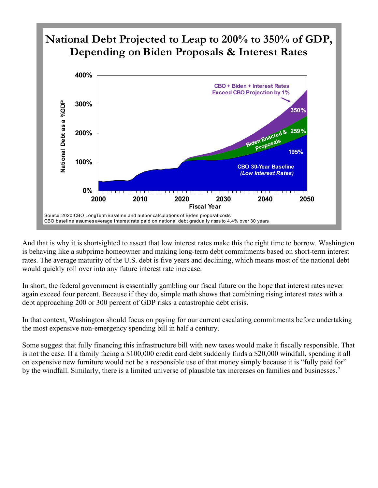

And that is why it is shortsighted to assert that low interest rates make this the right time to borrow. Washington is behaving like a subprime homeowner and making long-term debt commitments based on short-term interest rates. The average maturity of the U.S. debt is five years and declining, which means most of the national debt would quickly roll over into any future interest rate increase.

In short, the federal government is essentially gambling our fiscal future on the hope that interest rates never again exceed four percent. Because if they do, simple math shows that combining rising interest rates with a debt approaching 200 or 300 percent of GDP risks a catastrophic debt crisis.

In that context, Washington should focus on paying for our current escalating commitments before undertaking the most expensive non-emergency spending bill in half a century.

Some suggest that fully financing this infrastructure bill with new taxes would make it fiscally responsible. That is not the case. If a family facing a \$100,000 credit card debt suddenly finds a \$20,000 windfall, spending it all on expensive new furniture would not be a responsible use of that money simply because it is "fully paid for" by the windfall. Similarly, there is a limited universe of plausible tax increases on families and businesses.<sup>[7](#page-8-6)</sup>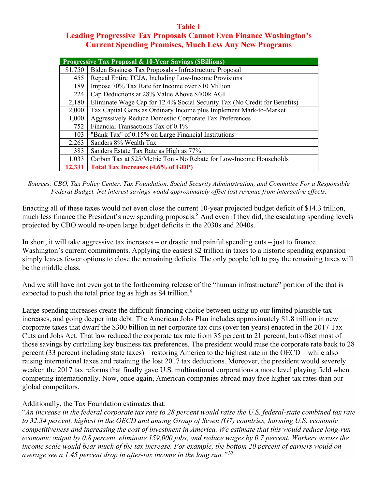### **Table 1 Leading Progressive Tax Proposals Cannot Even Finance Washington's Current Spending Promises, Much Less Any New Programs**

| <b>Progressive Tax Proposal &amp; 10-Year Savings (SBillions)</b> |                                                                           |
|-------------------------------------------------------------------|---------------------------------------------------------------------------|
| \$1,750                                                           | Biden Business Tax Proposals - Infrastructure Proposal                    |
| 455                                                               | Repeal Entire TCJA, Including Low-Income Provisions                       |
| 189                                                               | Impose 70% Tax Rate for Income over \$10 Million                          |
| 224                                                               | Cap Deductions at 28% Value Above \$400k AGI                              |
| 2,180                                                             | Eliminate Wage Cap for 12.4% Social Security Tax (No Credit for Benefits) |
| 2,000                                                             | Tax Capital Gains as Ordinary Income plus Implement Mark-to-Market        |
| 1,000                                                             | <b>Aggressively Reduce Domestic Corporate Tax Preferences</b>             |
| 752                                                               | Financial Transactions Tax of 0.1%                                        |
| 103                                                               | "Bank Tax" of 0.15% on Large Financial Institutions                       |
| 2,263                                                             | Sanders 8% Wealth Tax                                                     |
| 383                                                               | Sanders Estate Tax Rate as High as 77%                                    |
| 1,033                                                             | Carbon Tax at \$25/Metric Ton - No Rebate for Low-Income Households       |
| 12,331                                                            | <b>Total Tax Increases (4.6% of GDP)</b>                                  |

#### *Sources: CBO, Tax Policy Center, Tax Foundation, Social Security Administration, and Committee For a Responsible Federal Budget. Net interest savings would approximately offset lost revenue from interactive effects.*

Enacting all of these taxes would not even close the current 10-year projected budget deficit of \$14.3 trillion, much less finance the President's new spending proposals.<sup>[8](#page-8-7)</sup> And even if they did, the escalating spending levels projected by CBO would re-open large budget deficits in the 2030s and 2040s.

In short, it will take aggressive tax increases – or drastic and painful spending cuts – just to finance Washington's current commitments. Applying the easiest \$2 trillion in taxes to a historic spending expansion simply leaves fewer options to close the remaining deficits. The only people left to pay the remaining taxes will be the middle class.

And we still have not even got to the forthcoming release of the "human infrastructure" portion of the that is expected to push the total price tag as high as \$4 trillion.<sup>[9](#page-9-0)</sup>

Large spending increases create the difficult financing choice between using up our limited plausible tax increases, and going deeper into debt. The American Jobs Plan includes approximately \$1.8 trillion in new corporate taxes that dwarf the \$300 billion in net corporate tax cuts (over ten years) enacted in the 2017 Tax Cuts and Jobs Act. That law reduced the corporate tax rate from 35 percent to 21 percent, but offset most of those savings by curtailing key business tax preferences. The president would raise the corporate rate back to 28 percent (33 percent including state taxes) – restoring America to the highest rate in the OECD – while also raising international taxes and retaining the lost 2017 tax deductions. Moreover, the president would severely weaken the 2017 tax reforms that finally gave U.S. multinational corporations a more level playing field when competing internationally. Now, once again, American companies abroad may face higher tax rates than our global competitors.

## Additionally, the Tax Foundation estimates that:

"*An increase in the federal corporate tax rate to 28 percent would raise the U.S. federal-state combined tax rate to 32.34 percent, highest in the OECD and among Group of Seven (G7) countries, harming U.S. economic competitiveness and increasing the cost of investment in America. We estimate that this would reduce long-run economic output by 0.8 percent, eliminate 159,000 jobs, and reduce wages by 0.7 percent. Workers across the income scale would bear much of the tax increase. For example, the bottom 20 percent of earners would on average see a 1.45 percent drop in after-tax income in the long run."[10](#page-9-1)*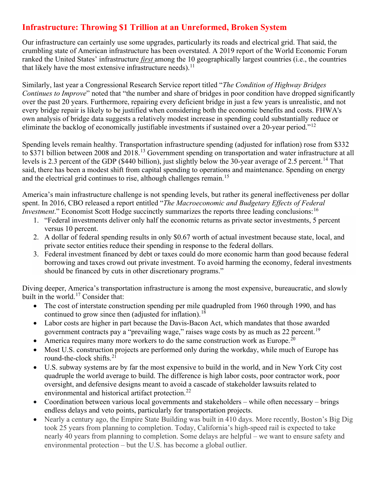## **Infrastructure: Throwing \$1 Trillion at an Unreformed, Broken System**

Our infrastructure can certainly use some upgrades, particularly its roads and electrical grid. That said, the crumbling state of American infrastructure has been overstated. A 2019 report of the World Economic Forum ranked the United States' infrastructure *first* among the 10 geographically largest countries (i.e., the countries that likely have the most extensive infrastructure needs).<sup>[11](#page-9-2)</sup>

Similarly, last year a Congressional Research Service report titled "*The Condition of Highway Bridges Continues to Improve*" noted that "the number and share of bridges in poor condition have dropped significantly over the past 20 years. Furthermore, repairing every deficient bridge in just a few years is unrealistic, and not every bridge repair is likely to be justified when considering both the economic benefits and costs. FHWA's own analysis of bridge data suggests a relatively modest increase in spending could substantially reduce or eliminate the backlog of economically justifiable investments if sustained over a 20-year period."<sup>[12](#page-9-3)</sup>

Spending levels remain healthy. Transportation infrastructure spending (adjusted for inflation) rose from \$332 to \$371 billion between 2008 and 2018.[13](#page-9-4) Government spending on transportation and water infrastructure at all levels is 2.3 percent of the GDP (\$440 billion), just slightly below the 30-year average of 2.5 percent.<sup>[14](#page-9-5)</sup> That said, there has been a modest shift from capital spending to operations and maintenance. Spending on energy and the electrical grid continues to rise, although challenges remain.<sup>[15](#page-9-6)</sup>

America's main infrastructure challenge is not spending levels, but rather its general ineffectiveness per dollar spent. In 2016, CBO released a report entitled "*The [Macroeconomic](https://www.cbo.gov/sites/default/files/114th-congress-2015-2016/reports/51628-Federal_Investment.pdf) and Budgetary Effects of Federal [Investment](https://www.cbo.gov/sites/default/files/114th-congress-2015-2016/reports/51628-Federal_Investment.pdf)*." Economist Scott Hodge succinctly summarizes the reports three leading conclusions: <sup>[16](#page-9-7)</sup>

- 1. "Federal investments deliver only half the economic returns as private sector investments, 5 percent versus 10 percent.
- 2. A dollar of federal spending results in only \$0.67 worth of actual investment because state, local, and private sector entities reduce their spending in response to the federal dollars.
- 3. Federal investment financed by debt or taxes could do more economic harm than good because federal borrowing and taxes crowd out private investment. To avoid harming the economy, federal investments should be financed by cuts in other discretionary programs."

Diving deeper, America's transportation infrastructure is among the most expensive, bureaucratic, and [slowly](https://www.governing.com/community/Why-Cant-We-Build-Infrastructure-Cheaply-Quickly-and-Well.html) built in the world.<sup>[17](#page-9-8)</sup> Consider that:

- The cost of interstate construction spending per mile quadrupled from 1960 through 1990, and has continued to grow since then (adjusted for inflation).<sup>[18](#page-9-9)</sup>
- Labor costs are higher in part because the Davis-Bacon Act, which mandates that those awarded government contracts pay a "prevailing wage," raises wage costs by as much as 22 percent.<sup>[19](#page-9-10)</sup>
- America requires many more workers to do the same construction work as Europe.<sup>[20](#page-9-11)</sup>
- Most U.S. construction projects are performed only during the workday, while much of Europe has round-the-clock shifts.[21](#page-9-12)
- U.S. subway systems are by far the most expensive to build in the world, and in New York City cost quadruple the world average to build. The difference is high labor costs, poor contractor work, poor oversight, and defensive designs meant to avoid a cascade of stakeholder lawsuits related to environmental and historical artifact protection.<sup>[22](#page-9-13)</sup>
- Coordination between various local governments and stakeholders while often necessary brings endless delays and veto points, particularly for transportation projects.
- Nearly a century ago, the Empire State Building was built in 410 days. More recently, Boston's Big Dig took 25 years from planning to completion. Today, California's high-speed rail is expected to take nearly 40 years from planning to completion. Some delays are helpful – we want to ensure safety and environmental protection – but the U.S. has become a global outlier.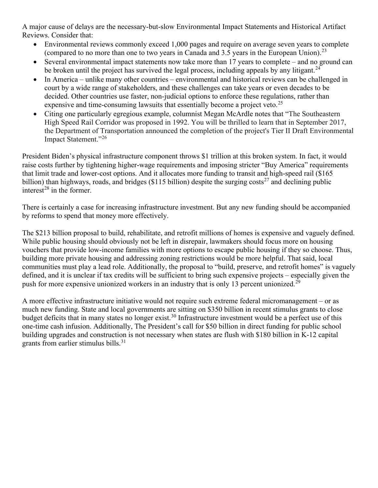A major cause of delays are the necessary-but-slow Environmental Impact Statements and Historical Artifact Reviews. Consider that:

- Environmental reviews commonly exceed 1,000 pages and require on average seven years to complete (compared to no more than one to two years in Canada and 3.5 years in the European Union).<sup>[23](#page-9-14)</sup>
- Several environmental impact statements now take more than 17 years to complete and no ground can be broken until the project has survived the legal process, including appeals by any litigant.<sup>[24](#page-9-15)</sup>
- In America unlike many other countries environmental and historical reviews can be challenged in court by a wide range of stakeholders, and these challenges can take years or even decades to be decided. Other countries use faster, non-judicial options to enforce these regulations, rather than expensive and time-consuming lawsuits that essentially become a project veto.<sup>[25](#page-9-16)</sup>
- Citing one particularly egregious example, columnist Megan McArdle notes that "The Southeastern High Speed Rail Corridor was proposed in 1992. You will be thrilled to learn that in September 2017, the Department of Transportation announced the completion of the project's Tier II Draft Environmental Impact Statement."[26](#page-9-17)

President Biden's physical infrastructure component throws \$1 trillion at this broken system. In fact, it would raise costs further by tightening higher-wage requirements and imposing stricter "Buy America" requirements that limit trade and lower-cost options. And it allocates more funding to transit and high-speed rail (\$165 billion) than highways, roads, and bridges (\$115 billion) despite the [surging costs](https://www.city-journal.org/high-costs-construction-delays-plague-ca-high-speed-rail)<sup>[27](#page-9-18)</sup> and declining public [interest](https://www.cato.org/policy-analysis/transit-urban-parasite)<sup>[28](#page-9-19)</sup> in the former.

There is certainly a case for increasing infrastructure investment. But any new funding should be accompanied by reforms to spend that money more effectively.

The \$213 billion proposal to build, rehabilitate, and retrofit millions of homes is expensive and vaguely defined. While public housing should obviously not be left in disrepair, lawmakers should focus more on housing vouchers that provide low-income families with more options to escape public housing if they so choose. Thus, building more private housing and addressing zoning restrictions would be more helpful. That said, local communities must play a lead role. Additionally, the proposal to "build, preserve, and retrofit homes" is vaguely defined, and it is unclear if tax credits will be sufficient to bring such expensive projects – especially given the push for more expensive unionized workers in an industry that is only 13 percent unionized.<sup>[29](#page-10-0)</sup>

A more effective infrastructure initiative would not require such extreme federal micromanagement – or as much new funding. State and local governments are sitting on \$350 billion in recent stimulus grants to close budget deficits that in many states [no longer exist.](https://www.crfb.org/blogs/state-and-local-governments-do-not-need-half-trillion-covid-relief)<sup>[30](#page-10-1)</sup> Infrastructure investment would be a perfect use of this one-time cash infusion. Additionally, The President's call for \$50 billion in direct funding for public school building upgrades and construction is not necessary when states are flush with [\\$180 billion](https://www.thedailybeast.com/dollar19-trillion-is-too-much-and-biden-and-the-democrats-know-it) in K-12 capital grants from earlier stimulus bills.<sup>[31](#page-10-2)</sup>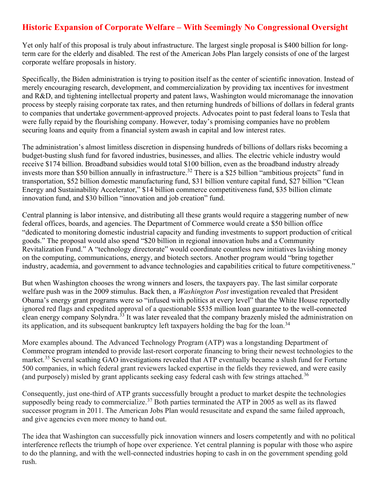## **Historic Expansion of Corporate Welfare – With Seemingly No Congressional Oversight**

Yet only half of this proposal is truly about infrastructure. The largest single proposal is \$400 billion for longterm care for the elderly and disabled. The rest of the American Jobs Plan largely consists of one of the largest corporate welfare proposals in history.

Specifically, the Biden administration is trying to position itself as the center of scientific innovation. Instead of merely encouraging research, development, and commercialization by providing tax incentives for investment and R&D, and tightening intellectual property and patent laws, Washington would micromanage the innovation process by steeply raising corporate tax rates, and then returning hundreds of billions of dollars in federal grants to companies that undertake government-approved projects. Advocates point to past federal loans to Tesla that were fully repaid by the flourishing company. However, today's promising companies have no problem securing loans and equity from a financial system awash in capital and low interest rates.

The administration's almost limitless discretion in dispensing hundreds of billions of dollars risks becoming a budget-busting slush fund for favored industries, businesses, and allies. The electric vehicle industry would receive \$174 billion. Broadband subsidies would total \$100 billion, even as the broadband industry already invests more than [\\$50 billion](https://progressivepolicy.org/blogs/investment-heroes-2020/) annually in infrastructure.<sup>[32](#page-10-3)</sup> There is a \$25 billion "ambitious projects" fund in transportation, \$52 billion domestic manufacturing fund, \$31 billion venture capital fund, \$27 billion "Clean Energy and Sustainability Accelerator," \$14 billion commerce competitiveness fund, \$35 billion climate innovation fund, and \$30 billion "innovation and job creation" fund.

Central planning is labor intensive, and distributing all these grants would require a staggering number of new federal offices, boards, and agencies. The Department of Commerce would create a \$50 billion office "dedicated to monitoring domestic industrial capacity and funding investments to support production of critical goods." The proposal would also spend "\$20 billion in regional innovation hubs and a Community Revitalization Fund." A "technology directorate" would coordinate countless new initiatives lavishing money on the computing, communications, energy, and biotech sectors. Another program would "bring together industry, academia, and government to advance technologies and capabilities critical to future competitiveness."

But when Washington chooses the wrong winners and losers, the taxpayers pay. The last similar corporate welfare push was in the 2009 stimulus. Back then, a *Washington Post* [investigation](https://www.washingtonpost.com/solyndra-politics-infused-obama-energy-programs/2011/12/14/gIQA4HllHP_story.html) revealed that President Obama's energy grant programs were so "infused with politics at every level" that the White House [reportedly](https://www.washingtonpost.com/solyndra-politics-infused-obama-energy-programs/2011/12/14/gIQA4HllHP_story.html) ignored red flags and expedited approval of a questionable \$535 million loan guarantee to the well-connected clean energy company Solyndra.<sup>[33](#page-10-4)</sup> It was later revealed that the company [brazenly misled](https://fortune.com/2015/08/27/remember-solyndra-mistake/) the administration on its application, and its subsequent bankruptcy left taxpayers holding the bag for the loan.<sup>[34](#page-10-5)</sup>

More examples abound. The Advanced Technology Program (ATP) was a longstanding Department of Commerce [program](https://www.heritage.org/budget-and-spending/report/the-advanced-technology-program-time-end-corporate-welfare-handout) intended to provide last-resort corporate financing to bring their newest technologies to the market.<sup>[35](#page-10-6)</sup> Several [scathing](https://www.gao.gov/assets/rced/oce-98-83r.pdf) [GAO](https://www.gao.gov/products/rced-96-47) [investigations](https://www.gao.gov/assets/rced-00-114.pdf) revealed that ATP eventually became a slush fund for Fortune 500 companies, in which federal grant reviewers lacked expertise in the fields they reviewed, and were easily (and purposely) misled by grant applicants seeking easy federal cash with few strings attached.<sup>[36](#page-10-7)</sup>

Consequently, just one-third of ATP grants successfully brought a product to market despite the technologies supposedly being ready to commercialize.<sup>[37](#page-10-8)</sup> Both parties terminated the ATP in 2005 as well as its flawed successor program in 2011. The American Jobs Plan would resuscitate and expand the same failed approach, and give agencies even more money to hand out.

The idea that Washington can successfully pick innovation winners and losers competently and with no political interference reflects the triumph of hope over experience. Yet central planning is popular with those who aspire to do the planning, and with the well-connected industries hoping to cash in on the government spending gold rush.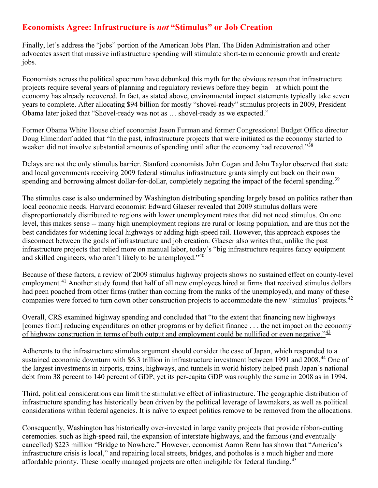## **Economists Agree: Infrastructure is** *not* **"Stimulus" or Job Creation**

Finally, let's address the "jobs" portion of the American Jobs Plan. The Biden Administration and other advocates assert that massive infrastructure spending will stimulate short-term economic growth and create jobs.

Economists across the political spectrum have debunked this myth for the obvious reason that infrastructure projects require several years of planning and regulatory reviews before they begin – at which point the economy has already recovered. In fact, as stated above, environmental impact statements typically take seven years to complete. After allocating \$94 billion for mostly "shovel-ready" stimulus projects in 2009, President Obama later joked that "Shovel-ready was not as … shovel-ready as we expected."

Former Obama White House chief economist Jason Furman and former Congressional Budget Office director Doug Elmendorf added that "In the past, infrastructure projects that were initiated as the economy started to weaken did not involve substantial amounts of spending until after the economy had recovered."<sup>[38](#page-10-9)</sup>

Delays are not the only stimulus barrier. Stanford economists John Cogan and John Taylor observed that state and local governments receiving 2009 federal stimulus infrastructure grants simply cut back on their own spending and borrowing almost dollar-for-dollar, completely negating the impact of the federal spending.<sup>[39](#page-10-10)</sup>

The stimulus case is also undermined by Washington distributing spending largely based on politics rather than local economic needs. Harvard economist Edward Glaeser revealed that 2009 stimulus dollars were disproportionately distributed to regions with lower unemployment rates that did not need stimulus. On one level, this makes sense -- many high unemployment regions are rural or losing population, and are thus not the best candidates for widening local highways or adding high-speed rail. However, this approach exposes the disconnect between the goals of infrastructure and job creation. Glaeser also [writes](https://www.city-journal.org/html/if-you-build-it-14606.html) that, unlike the past infrastructure projects that relied more on manual labor, today's "big infrastructure requires fancy equipment and skilled engineers, who aren't likely to be unemployed."[40](#page-10-11)

Because of these factors, a review of 2009 stimulus highway projects shows no sustained effect on county-level employment.<sup>[41](#page-10-12)</sup> Another study found that half of all new employees hired at firms that received stimulus dollars had peen poached from other firms (rather than coming from the ranks of the unemployed), and many of these companies were forced to turn down other construction projects to accommodate the new "stimulus" projects.<sup>[42](#page-10-13)</sup>

Overall, CRS examined highway spending and concluded that "to the extent that financing new highways [comes from] reducing expenditures on other programs or by deficit finance . . . the net impact on the economy of highway construction in terms of both output and employment could be nullified or even negative." $43$ 

Adherents to the infrastructure stimulus argument should consider the case of Japan, which responded to a sustained economic downturn with \$6.3 trillion in infrastructure investment between 1991 and 2008.<sup>[44](#page-10-15)</sup> One of the largest investments in airports, trains, highways, and tunnels in world history helped push Japan's national debt from 38 percent to 140 percent of GDP, yet its per-capita GDP was roughly the same in 2008 as in 1994.

Third, political considerations can limit the stimulative effect of infrastructure. The geographic distribution of infrastructure spending has historically been driven by the political leverage of lawmakers, as well as political considerations within federal agencies. It is naïve to expect politics remove to be removed from the allocations.

Consequently, Washington has historically over-invested in large vanity projects that provide ribbon-cutting ceremonies. such as high-speed rail, the expansion of interstate highways, and the famous (and eventually cancelled) \$223 million "Bridge to Nowhere." However, economist Aaron Renn has shown that "America's infrastructure crisis is local," and repairing local streets, bridges, and potholes is a much higher and more affordable priority. These locally managed projects are often ineligible for federal funding.<sup>[45](#page-10-16)</sup>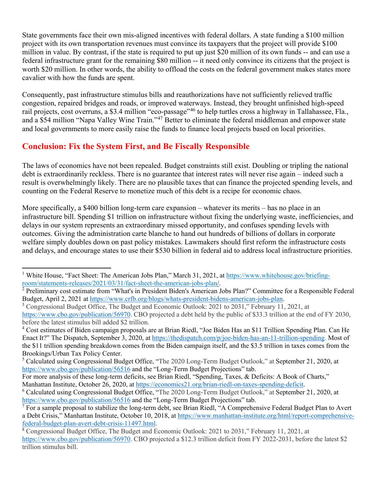State governments face their own mis-aligned incentives with federal dollars. A state funding a \$100 million project with its own transportation revenues must convince its taxpayers that the project will provide \$100 million in value. By contrast, if the state is required to put up just \$20 million of its own funds -- and can use a federal infrastructure grant for the remaining \$80 million -- it need only convince its citizens that the project is worth \$20 million. In other words, the ability to offload the costs on the federal government makes states more cavalier with how the funds are spent.

Consequently, past infrastructure stimulus bills and reauthorizations have not sufficiently relieved traffic congestion, repaired bridges and roads, or improved waterways. Instead, they brought unfinished high-speed rail projects, cost overruns, a \$3.4 million "eco-passage"<sup>[46](#page-10-17)</sup> to help turtles cross a highway in Tallahassee, Fla., and a \$54 million "Napa Valley Wine Train."<sup>[47](#page-10-18)</sup> Better to eliminate the federal middleman and empower state and local governments to more easily raise the funds to finance local projects based on local priorities.

## **Conclusion: Fix the System First, and Be Fiscally Responsible**

The laws of economics have not been repealed. Budget constraints still exist. Doubling or tripling the national debt is extraordinarily reckless. There is no guarantee that interest rates will never rise again – indeed such a result is overwhelmingly likely. There are no plausible taxes that can finance the projected spending levels, and counting on the Federal Reserve to monetize much of this debt is a recipe for economic chaos.

More specifically, a \$400 billion long-term care expansion – whatever its merits – has no place in an infrastructure bill. Spending \$1 trillion on infrastructure without fixing the underlying waste, inefficiencies, and delays in our system represents an extraordinary missed opportunity, and confuses spending levels with outcomes. Giving the administration carte blanche to hand out hundreds of billions of dollars in corporate welfare simply doubles down on past policy mistakes. Lawmakers should first reform the infrastructure costs and delays, and encourage states to use their \$530 billion in federal aid to address local infrastructure priorities.

<span id="page-8-0"></span><sup>&</sup>lt;sup>1</sup> White House, "Fact Sheet: The American Jobs Plan," March 31, 2021, at  $\frac{https://www.wikipedia.org/briefing-room/statements-releases/2021/03/31/fact-sheet-the-american- jobs-plan/$ .

<span id="page-8-1"></span><sup>&</sup>lt;sup>[2](https://www.whitehouse.gov/briefing-room/statements-releases/2021/03/31/fact-sheet-the-american-jobs-plan/)</sup> Preliminary cost estimate from "What's in President Biden's American Jobs Plan?" Committee for a Responsible Federal Budget, April 2, 2021 at [https://www.crfb.org/blogs/whats-president-bidens-american-jobs-plan.](https://www.crfb.org/blogs/whats-president-bidens-american-jobs-plan)<br><sup>3</sup> Congressional Budget Office, The Budget and Economic Outlook: 2021 to 2031," February 11, 2021, at

<span id="page-8-2"></span>[https://www.cbo.gov/publication/56970.](https://www.cbo.gov/publication/56970) CBO projected a debt held by the public of \$33.3 trillion at the end of FY 2030, before the latest stimulus bill added \$2 trillion.

<span id="page-8-3"></span><sup>4</sup> Cost estimates of Biden campaign proposals are at Brian Riedl, "Joe Biden Has an \$11 Trillion Spending Plan. Can He Enact It?" The Dispatch, September 3, 2020, at [https://thedispatch.com/p/joe-biden-has-an-11-trillion-spending.](https://thedispatch.com/p/joe-biden-has-an-11-trillion-spending) Most of the \$11 trillion spending breakdown comes from the Biden campaign itself, and the \$3.5 trillion in taxes comes from the Brookings/Urban Tax Policy Center.

<span id="page-8-4"></span><sup>5</sup> Calculated using Congressional Budget Office, "The 2020 Long-Term Budget Outlook," at September 21, 2020, at <https://www.cbo.gov/publication/56516> and the "Long-Term Budget Projections" tab.

For more analysis of these long-term deficits, see Brian Riedl, "Spending, Taxes, & Deficits: A Book of Charts," Manhattan Institute, October 26, 2020, at [https://economics21.org/brian-riedl-on-taxes-spending-deficit.](https://economics21.org/brian-riedl-on-taxes-spending-deficit)<br><sup>6</sup> Calculated using Congressional Budget Office, "The 2020 Long-Term Budget Outlook," at September 21, 2020, at

<span id="page-8-5"></span><https://www.cbo.gov/publication/56516> and the "Long-Term Budget Projections" tab.

<span id="page-8-6"></span><sup>&</sup>lt;sup>7</sup> For a sample proposal to stabilize the long-term debt, see Brian Riedl, "A Comprehensive Federal Budget Plan to Avert a Debt Crisis," Manhattan Institute, October 10, 2018, at [https://www.manhattan-institute.org/html/report-comprehensive](https://www.manhattan-institute.org/html/report-comprehensive-federal-budget-plan-avert-debt-crisis-11497.html)[federal-budget-plan-avert-debt-crisis-11497.html.](https://www.manhattan-institute.org/html/report-comprehensive-federal-budget-plan-avert-debt-crisis-11497.html)

<span id="page-8-7"></span><sup>8</sup> Congressional Budget Office, The Budget and Economic Outlook: 2021 to 2031," February 11, 2021, at [https://www.cbo.gov/publication/56970.](https://www.cbo.gov/publication/56970) CBO projected a \$12.3 trillion deficit from FY 2022-2031, before the latest \$2 trillion stimulus bill.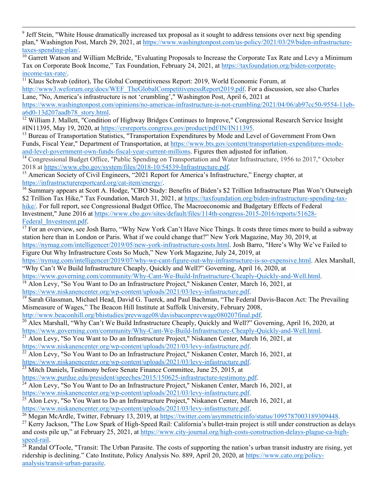<span id="page-9-0"></span><sup>9</sup> Jeff Stein, "White House dramatically increased tax proposal as it sought to address tensions over next big spending plan," Washington Post, March 29, 2021, at [https://www.washingtonpost.com/us-policy/2021/03/29/biden-infrastructure](https://www.washingtonpost.com/us-policy/2021/03/29/biden-infrastructure-taxes-spending-plan/)[taxes-spending-plan/.](https://www.washingtonpost.com/us-policy/2021/03/29/biden-infrastructure-taxes-spending-plan/)<br><sup>10</sup> Garrett Watson and William McBride, "Evaluating Proposals to Increase the Corporate Tax Rate and Levy a Minimum

<span id="page-9-1"></span>Tax on Corporate Book Income," Tax Foundation, February 24, 2021, at [https://taxfoundation.org/biden-corporate-](https://taxfoundation.org/biden-corporate-income-tax-rate/)

<span id="page-9-2"></span>[income-tax-rate/.](https://taxfoundation.org/biden-corporate-income-tax-rate/)<br><sup>11</sup> Klaus Schwab (editor), The Global Competitiveness Report: 2019, World Economic Forum, at [http://www3.weforum.org/docs/WEF\\_TheGlobalCompetitivenessReport2019.pdf.](http://www3.weforum.org/docs/WEF_TheGlobalCompetitivenessReport2019.pdf) For a discussion, see also Charles Lane, "No, America's infrastructure is not 'crumbling'," Washington Post, April 6, 2021 at [https://www.washingtonpost.com/opinions/no-americas-infrastructure-is-not-crumbling/2021/04/06/ab97cc50-9554-11eb-](https://www.washingtonpost.com/opinions/no-americas-infrastructure-is-not-crumbling/2021/04/06/ab97cc50-9554-11eb-a6d0-13d207aadb78_story.html)

<span id="page-9-3"></span>[a6d0-13d207aadb78\\_story.html.](https://www.washingtonpost.com/opinions/no-americas-infrastructure-is-not-crumbling/2021/04/06/ab97cc50-9554-11eb-a6d0-13d207aadb78_story.html)<br><sup>[12](https://www.washingtonpost.com/opinions/no-americas-infrastructure-is-not-crumbling/2021/04/06/ab97cc50-9554-11eb-a6d0-13d207aadb78_story.html)</sup> William J. Mallett, "Condition of Highway Bridges Continues to Improve," Congressional Research Service Insight #IN11395, May 19, 2020, at [https://crsreports.congress.gov/product/pdf/IN/IN11395.](https://crsreports.congress.gov/product/pdf/IN/IN11395)<br><sup>13</sup> Bureau of Transportation Statistics, "Transportation Expenditures by Mode and Level of Government From Own

<span id="page-9-4"></span>Funds, Fiscal Year," Department of Transportation, at [https://www.bts.gov/content/transportation-expenditures-mode](https://www.bts.gov/content/transportation-expenditures-mode-and-level-government-own-funds-fiscal-year-current-millions)[and-level-government-own-funds-fiscal-year-current-millions.](https://www.bts.gov/content/transportation-expenditures-mode-and-level-government-own-funds-fiscal-year-current-millions) Figures then adjusted for inflation.

<span id="page-9-5"></span><sup>14</sup> Congressional Budget Office, "Public Spending on Transportation and Water Infrastructure, 1956 to 2017," October 2018 at https://www.cbo.gov/system/files/2018-10/54539-Infrastructure.pdf.

<span id="page-9-6"></span><sup>15</sup> American Society of Civil Engineers, "2021 Report for America's Infrastructure," Energy chapter, at [https://infrastructurereportcard.org/cat-item/energy/.](https://infrastructurereportcard.org/cat-item/energy/)

<span id="page-9-7"></span><sup>16</sup> Summary appears at Scott A. Hodge, "CBO Study: Benefits of Biden's \$2 Trillion Infrastructure Plan Won't Outweigh \$2 Trillion Tax Hike," Tax Foundation, March 31, 2021, at [https://taxfoundation.org/biden-infrastructure-spending-tax](https://taxfoundation.org/biden-infrastructure-spending-tax-hike/)[hike/.](https://taxfoundation.org/biden-infrastructure-spending-tax-hike/) For full report, see Congressional Budget Office, The Macroeconomic and Budgetary Effects of Federal Investment," June 2016 at [https://www.cbo.gov/sites/default/files/114th-congress-2015-2016/reports/51628-](https://www.cbo.gov/sites/default/files/114th-congress-2015-2016/reports/51628-Federal_Investment.pdf)

<span id="page-9-8"></span>[Federal\\_Investment.pdf.](https://www.cbo.gov/sites/default/files/114th-congress-2015-2016/reports/51628-Federal_Investment.pdf) [17](https://www.cbo.gov/sites/default/files/114th-congress-2015-2016/reports/51628-Federal_Investment.pdf) For an overview, see Josh Barro, "Why New York Can't Have Nice Things. It costs three times more to build a subway station here than in London or Paris. What if we could change that?" New York Magazine, May 30, 2019, at [https://nymag.com/intelligencer/2019/05/new-york-infrastructure-costs.html.](https://nymag.com/intelligencer/2019/05/new-york-infrastructure-costs.html) Josh Barro, "Here's Why We've Failed to

Figure Out Why Infrastructure Costs So Much," New York Magazine, July 24, 2019, at

[https://nymag.com/intelligencer/2019/07/why-we-cant-figure-out-why-infrastructure-is-so-expensive.html.](https://nymag.com/intelligencer/2019/07/why-we-cant-figure-out-why-infrastructure-is-so-expensive.html) Alex Marshall, "Why Can't We Build Infrastructure Cheaply, Quickly and Well?" Governing, April 16, 2020, at

[https://www.governing.com/community/Why-Cant-We-Build-Infrastructure-Cheaply-Quickly-and-Well.html.](https://www.governing.com/community/Why-Cant-We-Build-Infrastructure-Cheaply-Quickly-and-Well.html)

<span id="page-9-9"></span><sup>18</sup> Alon Levy, "So You Want to Do an Infrastructure Project," Niskanen Center, March 16, 2021, at https://www.niskanencenter.org/wp-content/uploads/2021/03/levy-infastructure.pdf.

<span id="page-9-10"></span> $\frac{19}{19}$  Sarah Glassman, Michael Head, David G. Tuerck, and Paul Bachman, "The Federal Davis-Bacon Act: The Prevailing

Mismeasure of Wages," The Beacon Hill Institute at Suffolk University, February 2008, http://www.beaconhill.org/bhistudies/prevwage08/davisbaconprevwage080207final.pdf.

<span id="page-9-11"></span><sup>20</sup> Alex Marshall. "Why Can't We Build Infrastructure Cheaply, Quickly and Well?" Governing, April 16, 2020, at [https://www.governing.com/community/Why-Cant-We-Build-Infrastructure-Cheaply-Quickly-and-Well.html.](https://www.governing.com/community/Why-Cant-We-Build-Infrastructure-Cheaply-Quickly-and-Well.html)

<span id="page-9-12"></span> $21$  Alon Levy, "So You Want to Do an Infrastructure Project," Niskanen Center, March 16, 2021, at

[https://www.niskanencenter.org/wp-content/uploads/2021/03/levy-infastructure.pdf.](https://www.niskanencenter.org/wp-content/uploads/2021/03/levy-infastructure.pdf)

<span id="page-9-13"></span><sup>22</sup> Alon Levy, "So You Want to Do an Infrastructure Project," Niskanen Center, March 16, 2021, at

[https://www.niskanencenter.org/wp-content/uploads/2021/03/levy-infastructure.pdf.](https://www.niskanencenter.org/wp-content/uploads/2021/03/levy-infastructure.pdf)

<span id="page-9-14"></span> $\frac{23}{23}$  Mitch Daniels, Testimony before Senate Finance Committee, June 25, 2015, at

[https://www.purdue.edu/president/speeches/2015/150625-infrastructure-testimony.pdf.](https://www.purdue.edu/president/speeches/2015/150625-infrastructure-testimony.pdf)

<span id="page-9-15"></span> $^{24}$  Alon Levy, "So You Want to Do an Infrastructure Project," Niskanen Center, March 16, 2021, at [https://www.niskanencenter.org/wp-content/uploads/2021/03/levy-infastructure.pdf.](https://www.niskanencenter.org/wp-content/uploads/2021/03/levy-infastructure.pdf)

<span id="page-9-16"></span><sup>25</sup> Alon Levy, "So You Want to Do an Infrastructure Project," Niskanen Center, March 16, 2021, at https://www.niskanencenter.org/wp-content/uploads/2021/03/levy-infastructure.pdf<br><sup>26</sup> Megan McArdle, Twitter, February 13, 2019, at https://twitter.com/asymmetricinfo/status/1095787003189309448.

<span id="page-9-18"></span><span id="page-9-17"></span><sup>27</sup> Kerry Jackson, "The Low Spark of High-Speed Rail: California's bullet-train project is still under construction as delays and costs pile up," at February 25, 2021, at https://www.city-journal.org/high-costs-construction-delays-plague-ca-high-<br>speed-rail.<br><sup>28</sup> Pandal O'Toola "Transit: The Usher Persent. The set of the speed-

<span id="page-9-19"></span>Randal O'Toole, "Transit: The Urban Parasite. The costs of supporting the nation's urban transit industry are rising, yet ridership is declining." Cato Institute, Policy Analysis No. 889, April 20, 2020, at [https://www.cato.org/policy](https://www.cato.org/policy-analysis/transit-urban-parasite)[analysis/transit-urban-parasite.](https://www.cato.org/policy-analysis/transit-urban-parasite)